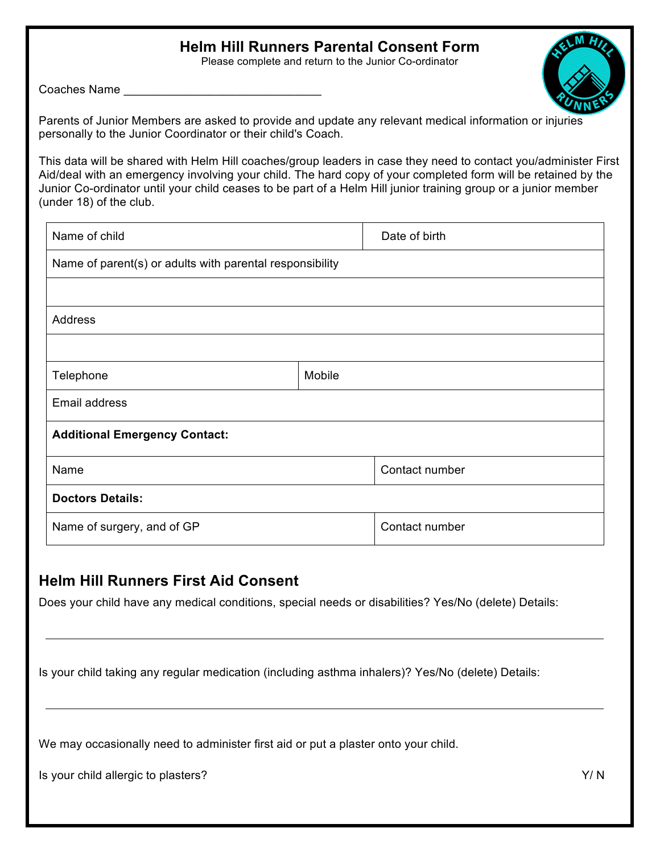## **Helm Hill Runners Parental Consent Form**

Please complete and return to the Junior Co-ordinator

Coaches Name

Parents of Junior Members are asked to provide and update any relevant medical information or injuries personally to the Junior Coordinator or their child's Coach.

This data will be shared with Helm Hill coaches/group leaders in case they need to contact you/administer First Aid/deal with an emergency involving your child. The hard copy of your completed form will be retained by the Junior Co-ordinator until your child ceases to be part of a Helm Hill junior training group or a junior member (under 18) of the club.

| Name of child                                            |        | Date of birth  |  |  |
|----------------------------------------------------------|--------|----------------|--|--|
| Name of parent(s) or adults with parental responsibility |        |                |  |  |
|                                                          |        |                |  |  |
| <b>Address</b>                                           |        |                |  |  |
|                                                          |        |                |  |  |
| Telephone                                                | Mobile |                |  |  |
| Email address                                            |        |                |  |  |
| <b>Additional Emergency Contact:</b>                     |        |                |  |  |
| Name                                                     |        | Contact number |  |  |
| <b>Doctors Details:</b>                                  |        |                |  |  |
| Name of surgery, and of GP                               |        | Contact number |  |  |

## **Helm Hill Runners First Aid Consent**

Does your child have any medical conditions, special needs or disabilities? Yes/No (delete) Details:

Is your child taking any regular medication (including asthma inhalers)? Yes/No (delete) Details:

We may occasionally need to administer first aid or put a plaster onto your child.

Is your child allergic to plasters? Y/ N